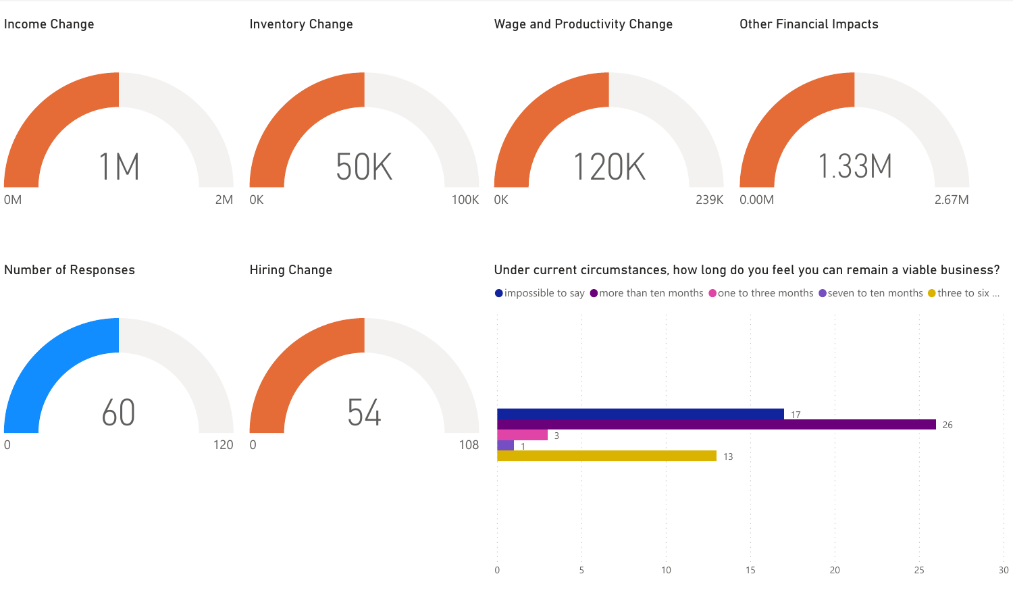